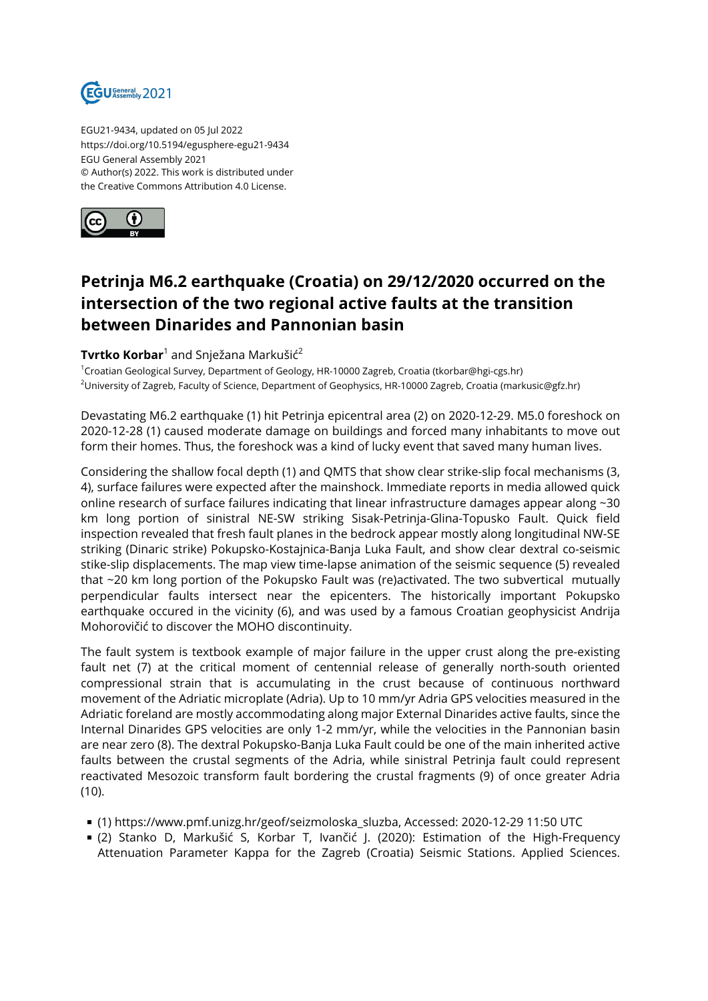

EGU21-9434, updated on 05 Jul 2022 https://doi.org/10.5194/egusphere-egu21-9434 EGU General Assembly 2021 © Author(s) 2022. This work is distributed under the Creative Commons Attribution 4.0 License.



## **Petrinja M6.2 earthquake (Croatia) on 29/12/2020 occurred on the intersection of the two regional active faults at the transition between Dinarides and Pannonian basin**

## **Tvrtko Korbar**<sup>1</sup> and Snježana Markušić<sup>2</sup>

<sup>1</sup>Croatian Geological Survey, Department of Geology, HR-10000 Zagreb, Croatia (tkorbar@hgi-cgs.hr) <sup>2</sup>University of Zagreb, Faculty of Science, Department of Geophysics, HR-10000 Zagreb, Croatia (markusic@gfz.hr)

Devastating M6.2 earthquake (1) hit Petrinja epicentral area (2) on 2020-12-29. M5.0 foreshock on 2020-12-28 (1) caused moderate damage on buildings and forced many inhabitants to move out form their homes. Thus, the foreshock was a kind of lucky event that saved many human lives.

Considering the shallow focal depth (1) and QMTS that show clear strike-slip focal mechanisms (3, 4), surface failures were expected after the mainshock. Immediate reports in media allowed quick online research of surface failures indicating that linear infrastructure damages appear along ~30 km long portion of sinistral NE-SW striking Sisak-Petrinja-Glina-Topusko Fault. Quick field inspection revealed that fresh fault planes in the bedrock appear mostly along longitudinal NW-SE striking (Dinaric strike) Pokupsko-Kostajnica-Banja Luka Fault, and show clear dextral co-seismic stike-slip displacements. The map view time-lapse animation of the seismic sequence (5) revealed that ~20 km long portion of the Pokupsko Fault was (re)activated. The two subvertical mutually perpendicular faults intersect near the epicenters. The historically important Pokupsko earthquake occured in the vicinity (6), and was used by a famous Croatian geophysicist Andrija Mohorovičić to discover the MOHO discontinuity.

The fault system is textbook example of major failure in the upper crust along the pre-existing fault net (7) at the critical moment of centennial release of generally north-south oriented compressional strain that is accumulating in the crust because of continuous northward movement of the Adriatic microplate (Adria). Up to 10 mm/yr Adria GPS velocities measured in the Adriatic foreland are mostly accommodating along major External Dinarides active faults, since the Internal Dinarides GPS velocities are only 1-2 mm/yr, while the velocities in the Pannonian basin are near zero (8). The dextral Pokupsko-Banja Luka Fault could be one of the main inherited active faults between the crustal segments of the Adria, while sinistral Petrinja fault could represent reactivated Mesozoic transform fault bordering the crustal fragments (9) of once greater Adria (10).

- (1) https://www.pmf.unizg.hr/geof/seizmoloska\_sluzba, Accessed: 2020-12-29 11:50 UTC
- (2) Stanko D, Markušić S, Korbar T, Ivančić J. (2020): Estimation of the High-Frequency Attenuation Parameter Kappa for the Zagreb (Croatia) Seismic Stations. Applied Sciences.